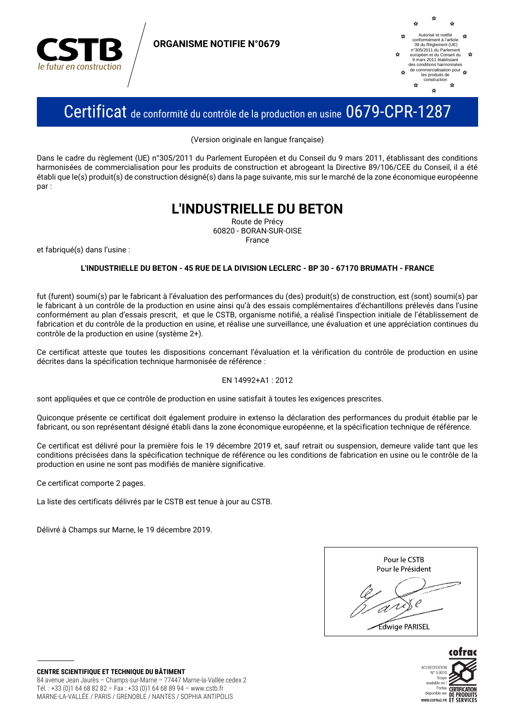

**ORGANISME NOTIFIE N°0679** 



# Certificat de conformité du contrôle de la production en usine 0679-CPR-1287

(Version originale en langue française)

Dans le cadre du règlement (UE) n°305/2011 du Parlement Européen et du Conseil du 9 mars 2011, établissant des conditions harmonisées de commercialisation pour les produits de construction et abrogeant la Directive 89/106/CEE du Conseil, il a été établi que le(s) produit(s) de construction désigné(s) dans la page suivante, mis sur le marché de la zone économique européenne nar:

## **L'INDUSTRIELLE DU BETON**

Route de Précy 60820 - BORAN-SUR-OISE Erance

et fabriqué(s) dans l'usine :

#### L'INDUSTRIELLE DU BETON - 45 RUE DE LA DIVISION LECLERC - BP 30 - 67170 BRUMATH - FRANCE

fut (furent) soumi(s) par le fabricant à l'évaluation des performances du (des) produit(s) de construction, est (sont) soumi(s) par le fabricant à un contrôle de la production en usine ainsi qu'à des essais complémentaires d'échantillons prélevés dans l'usine conformément au plan d'essais prescrit, et que le CSTB, organisme notifié, a réalisé l'inspection initiale de l'établissement de fabrication et du contrôle de la production en usine, et réalise une surveillance, une évaluation et une appréciation continues du contrôle de la production en usine (système 2+).

Ce certificat atteste que toutes les dispositions concernant l'évaluation et la vérification du contrôle de production en usine décrites dans la spécification technique harmonisée de référence :

#### EN 14992+A1: 2012

sont appliquées et que ce contrôle de production en usine satisfait à toutes les exigences prescrites.

Quiconque présente ce certificat doit également produire in extenso la déclaration des performances du produit établie par le fabricant, ou son représentant désigné établi dans la zone économique européenne, et la spécification technique de référence.

Ce certificat est délivré pour la première fois le 19 décembre 2019 et, sauf retrait ou suspension, demeure valide tant que les conditions précisées dans la spécification technique de référence ou les conditions de fabrication en usine ou le contrôle de la production en usine ne sont pas modifiés de manière significative.

Ce certificat comporte 2 pages.

La liste des certificats délivrés par le CSTB est tenue à jour au CSTB.

Délivré à Champs sur Marne, le 19 décembre 2019.





**CENTRE SCIENTIFIQUE ET TECHNIQUE DU BÂTIMENT** 84 avenue Jean Jaurès - Champs-sur-Marne - 77447 Marne-la-Vallée cedex 2 Tél.: +33 (0)1 64 68 82 82 - Fax: +33 (0)1 64 68 89 94 - www.cstb.fr MARNE-LA-VALLÉE / PARIS / GRENOBLE / NANTES / SOPHIA ANTIPOLIS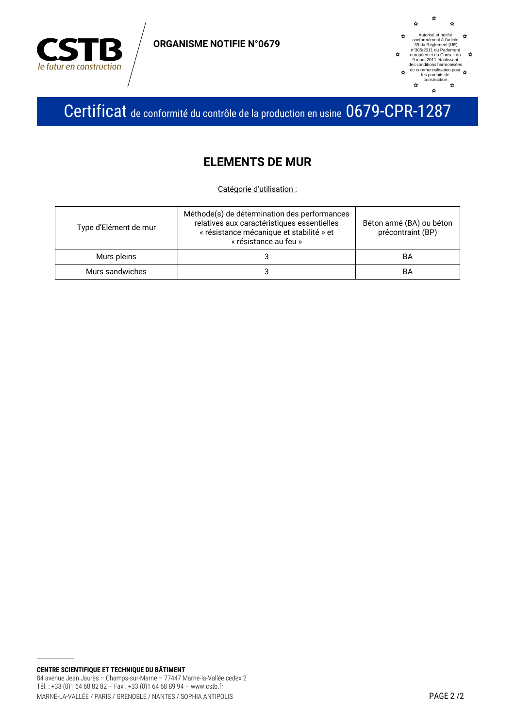

**ORGANISME NOTIFIE N°0679** 



Certificat de conformité du contrôle de la production en usine 0679-CPR-1287

### **ELEMENTS DE MUR**

Catégorie d'utilisation :

| Type d'Elément de mur | Méthode(s) de détermination des performances<br>relatives aux caractéristiques essentielles<br>« résistance mécanique et stabilité » et<br>« résistance au feu » | Béton armé (BA) ou béton<br>précontraint (BP) |
|-----------------------|------------------------------------------------------------------------------------------------------------------------------------------------------------------|-----------------------------------------------|
| Murs pleins           |                                                                                                                                                                  | BA                                            |
| Murs sandwiches       |                                                                                                                                                                  | BA                                            |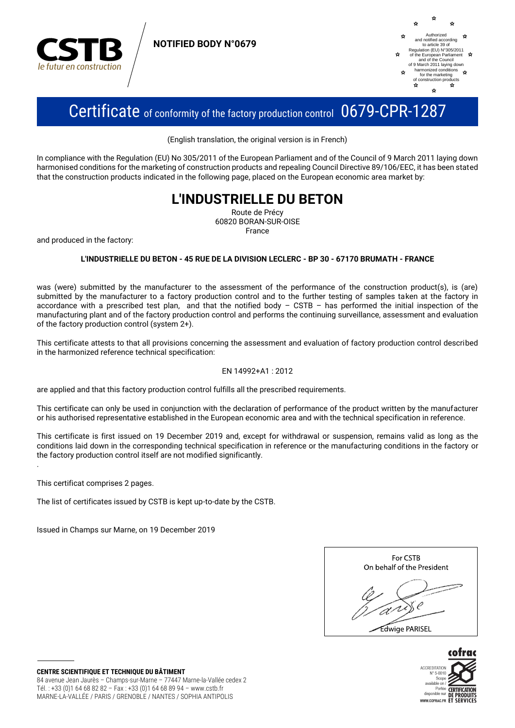

**NOTIFIED BODY N°0679**



# Certificate of conformity of the factory production control 0679-CPR-1287

(English translation, the original version is in French)

In compliance with the Regulation (EU) No 305/2011 of the European Parliament and of the Council of 9 March 2011 laying down harmonised conditions for the marketing of construction products and repealing Council Directive 89/106/EEC, it has been stated that the construction products indicated in the following page, placed on the European economic area market by:

## **L'INDUSTRIELLE DU BETON**

Route de Précy 60820 BORAN-SUR-OISE France

and produced in the factory:

### **L'INDUSTRIELLE DU BETON - 45 RUE DE LA DIVISION LECLERC - BP 30 - 67170 BRUMATH - FRANCE**

was (were) submitted by the manufacturer to the assessment of the performance of the construction product(s), is (are) submitted by the manufacturer to a factory production control and to the further testing of samples taken at the factory in accordance with a prescribed test plan, and that the notified body – CSTB – has performed the initial inspection of the manufacturing plant and of the factory production control and performs the continuing surveillance, assessment and evaluation of the factory production control (system 2+).

This certificate attests to that all provisions concerning the assessment and evaluation of factory production control described in the harmonized reference technical specification:

### EN 14992+A1 : 2012

are applied and that this factory production control fulfills all the prescribed requirements.

This certificate can only be used in conjunction with the declaration of performance of the product written by the manufacturer or his authorised representative established in the European economic area and with the technical specification in reference.

This certificate is first issued on 19 December 2019 and, except for withdrawal or suspension, remains valid as long as the conditions laid down in the corresponding technical specification in reference or the manufacturing conditions in the factory or the factory production control itself are not modified significantly.

This certificat comprises 2 pages.

.

The list of certificates issued by CSTB is kept up-to-date by the CSTB.

Issued in Champs sur Marne, on 19 December 2019





**CENTRE SCIENTIFIQUE ET TECHNIQUE DU BÂTIMENT** 84 avenue Jean Jaurès – Champs-sur-Marne – 77447 Marne-la-Vallée cedex 2 Tél. : +33 (0)1 64 68 82 82 – Fax : +33 (0)1 64 68 89 94 – www.cstb.fr MARNE-LA-VALLÉE / PARIS / GRENOBLE / NANTES / SOPHIA ANTIPOLIS